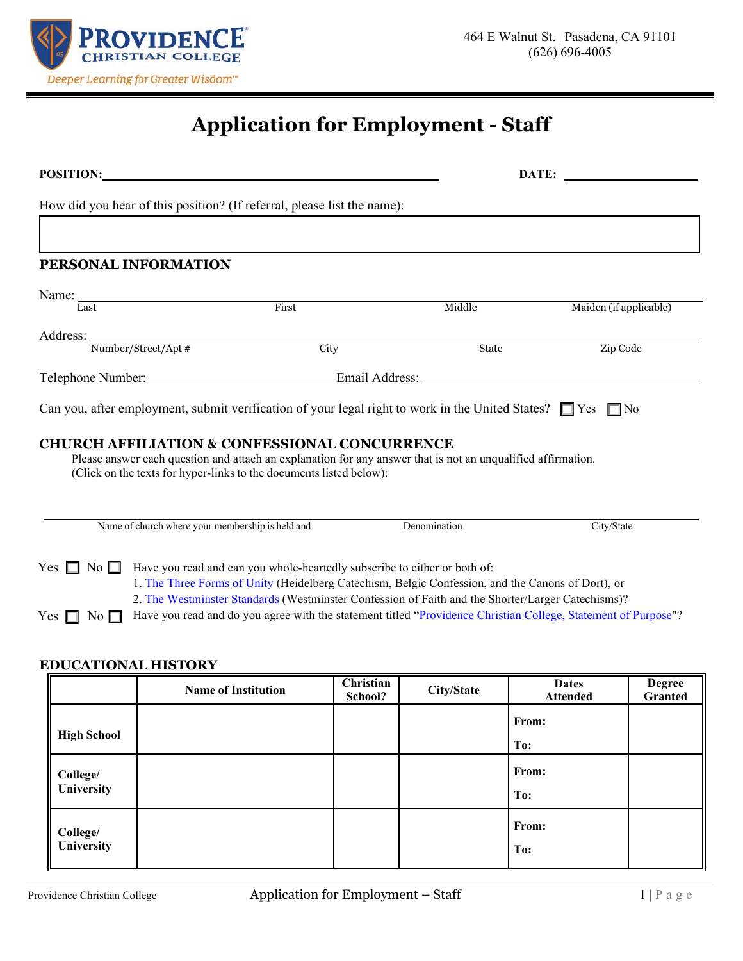

# **Application for Employment - Staff**

| POSITION:                                                                                                                                                                                                                                                                                                                                                                                                                                                                                    |                                                                                                                                                                                                                                                 |                                                  |       |                      |              | DATE:                                                                                                                 |                          |
|----------------------------------------------------------------------------------------------------------------------------------------------------------------------------------------------------------------------------------------------------------------------------------------------------------------------------------------------------------------------------------------------------------------------------------------------------------------------------------------------|-------------------------------------------------------------------------------------------------------------------------------------------------------------------------------------------------------------------------------------------------|--------------------------------------------------|-------|----------------------|--------------|-----------------------------------------------------------------------------------------------------------------------|--------------------------|
|                                                                                                                                                                                                                                                                                                                                                                                                                                                                                              | How did you hear of this position? (If referral, please list the name):                                                                                                                                                                         |                                                  |       |                      |              |                                                                                                                       |                          |
|                                                                                                                                                                                                                                                                                                                                                                                                                                                                                              |                                                                                                                                                                                                                                                 |                                                  |       |                      |              |                                                                                                                       |                          |
|                                                                                                                                                                                                                                                                                                                                                                                                                                                                                              |                                                                                                                                                                                                                                                 | PERSONAL INFORMATION                             |       |                      |              |                                                                                                                       |                          |
|                                                                                                                                                                                                                                                                                                                                                                                                                                                                                              | Name:                                                                                                                                                                                                                                           |                                                  |       |                      |              |                                                                                                                       |                          |
|                                                                                                                                                                                                                                                                                                                                                                                                                                                                                              | Last                                                                                                                                                                                                                                            |                                                  | First |                      | Middle       | Maiden (if applicable)                                                                                                |                          |
|                                                                                                                                                                                                                                                                                                                                                                                                                                                                                              |                                                                                                                                                                                                                                                 | Address: Number/Street/Apt #                     | City  |                      | State        | Zip Code                                                                                                              |                          |
|                                                                                                                                                                                                                                                                                                                                                                                                                                                                                              |                                                                                                                                                                                                                                                 |                                                  |       |                      |              |                                                                                                                       |                          |
|                                                                                                                                                                                                                                                                                                                                                                                                                                                                                              |                                                                                                                                                                                                                                                 |                                                  |       |                      |              | Can you, after employment, submit verification of your legal right to work in the United States? $\Box$ Yes $\Box$ No |                          |
|                                                                                                                                                                                                                                                                                                                                                                                                                                                                                              | <b>CHURCH AFFILIATION &amp; CONFESSIONAL CONCURRENCE</b><br>Please answer each question and attach an explanation for any answer that is not an unqualified affirmation.<br>(Click on the texts for hyper-links to the documents listed below): |                                                  |       |                      |              |                                                                                                                       |                          |
|                                                                                                                                                                                                                                                                                                                                                                                                                                                                                              |                                                                                                                                                                                                                                                 | Name of church where your membership is held and |       |                      | Denomination | City/State                                                                                                            |                          |
| Yes $\Box$<br>No $\square$<br>Have you read and can you whole-heartedly subscribe to either or both of:<br>1. The Three Forms of Unity (Heidelberg Catechism, Belgic Confession, and the Canons of Dort), or<br>2. The Westminster Standards (Westminster Confession of Faith and the Shorter/Larger Catechisms)?<br>Have you read and do you agree with the statement titled "Providence Christian College, Statement of Purpose"?<br>Yes $\Box$<br>No $\Box$<br><b>EDUCATIONAL HISTORY</b> |                                                                                                                                                                                                                                                 |                                                  |       |                      |              |                                                                                                                       |                          |
|                                                                                                                                                                                                                                                                                                                                                                                                                                                                                              |                                                                                                                                                                                                                                                 | <b>Name of Institution</b>                       |       | Christian<br>School? | City/State   | <b>Dates</b><br><b>Attended</b>                                                                                       | <b>Degree</b><br>Granted |
|                                                                                                                                                                                                                                                                                                                                                                                                                                                                                              |                                                                                                                                                                                                                                                 |                                                  |       |                      |              | From:                                                                                                                 |                          |

**High School**

**College/ University**

**College/ University** **To:**

**To:**

**To:**

**From:**

**From:**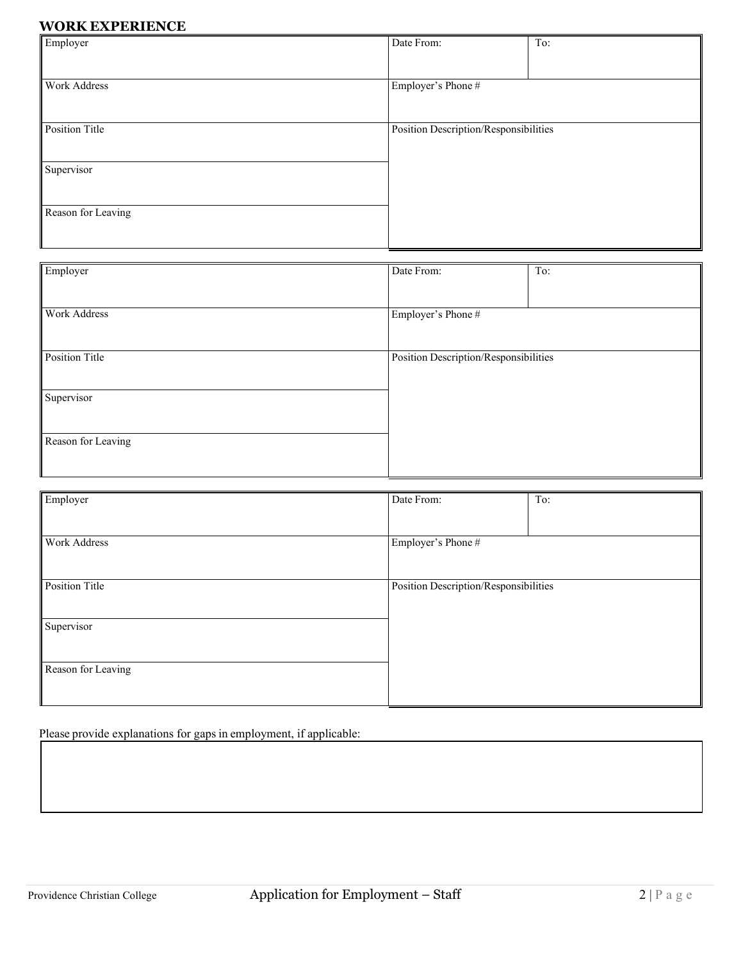## **WORK EXPERIENCE**

| Employer           | Date From:                            | To: |
|--------------------|---------------------------------------|-----|
|                    |                                       |     |
| Work Address       | Employer's Phone #                    |     |
|                    |                                       |     |
| Position Title     | Position Description/Responsibilities |     |
|                    |                                       |     |
| Supervisor         |                                       |     |
|                    |                                       |     |
| Reason for Leaving |                                       |     |
|                    |                                       |     |

| Employer            | Date From:                            | To: |
|---------------------|---------------------------------------|-----|
|                     |                                       |     |
| <b>Work Address</b> | Employer's Phone #                    |     |
|                     |                                       |     |
|                     |                                       |     |
| Position Title      | Position Description/Responsibilities |     |
|                     |                                       |     |
| Supervisor          |                                       |     |
|                     |                                       |     |
|                     |                                       |     |
| Reason for Leaving  |                                       |     |
|                     |                                       |     |

| Employer                                                | Date From:         | To: |  |
|---------------------------------------------------------|--------------------|-----|--|
|                                                         |                    |     |  |
| Work Address                                            | Employer's Phone # |     |  |
|                                                         |                    |     |  |
|                                                         |                    |     |  |
| Position Title<br>Position Description/Responsibilities |                    |     |  |
|                                                         |                    |     |  |
| Supervisor                                              |                    |     |  |
|                                                         |                    |     |  |
|                                                         |                    |     |  |
| Reason for Leaving                                      |                    |     |  |
|                                                         |                    |     |  |
|                                                         |                    |     |  |

Please provide explanations for gaps in employment, if applicable: